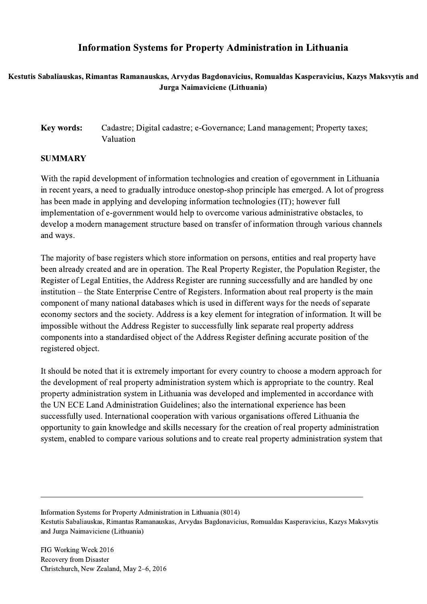## Information Systems for Property Administration in Lithuania

## Kestutis Sabaliauskas, Rimantas Ramanauskas, Arvydas Bagdonavicius, Romualdas Kasperavicius, Kazys Maksvytis and Jurga Naimaviciene (Lithuania)

## Key words: Cadastre; Digital cadastre; e-Governance; Land management; Property taxes; Valuation

## SUMMARY

With the rapid development of information technologies and creation of egovernment in Lithuania in recent years, a need to gradually introduce onestop-shop principle has emerged. A lot of progress has been made in applying and developing information technologies (IT); however full implementation of e-government would help to overcome various administrative obstacles, to develop a modern management structure based on transfer of information through various channels and ways.

The majority of base registers which store information on persons, entities and real property have been already created and are in operation. The Real Property Register, the Population Register, the Register of Legal Entities, the Address Register are running successfully and are handled by one institution – the State Enterprise Centre of Registers. Information about real property is the main component of many national databases which is used in different ways for the needs of separate economy sectors and the society. Address is a key element for integration of information. It will be impossible without the Address Register to successfully link separate real property address components into a standardised object of the Address Register defining accurate position of the registered object.

It should be noted that it is extremely important for every country to choose a modern approach for the development of real property administration system which is appropriate to the country. Real property administration system in Lithuania was developed and implemented in accordance with the UN ECE Land Administration Guidelines; also the international experience has been successfully used. International cooperation with various organisations offered Lithuania the opportunity to gain knowledge and skills necessary for the creation of real property administration system, enabled to compare various solutions and to create real property administration system that

Information Systems for Property Administration in Lithuania (8014) Kestutis Sabaliauskas, Rimantas Ramanauskas, Arvydas Bagdonavicius, Romualdas Kasperavicius, Kazys Maksvytis and Jurga Naimaviciene (Lithuania)

 $\mathcal{L}_\mathcal{L} = \{ \mathcal{L}_\mathcal{L} = \{ \mathcal{L}_\mathcal{L} = \{ \mathcal{L}_\mathcal{L} = \{ \mathcal{L}_\mathcal{L} = \{ \mathcal{L}_\mathcal{L} = \{ \mathcal{L}_\mathcal{L} = \{ \mathcal{L}_\mathcal{L} = \{ \mathcal{L}_\mathcal{L} = \{ \mathcal{L}_\mathcal{L} = \{ \mathcal{L}_\mathcal{L} = \{ \mathcal{L}_\mathcal{L} = \{ \mathcal{L}_\mathcal{L} = \{ \mathcal{L}_\mathcal{L} = \{ \mathcal{L}_\mathcal{$ 

FIG Working Week 2016 Recovery from Disaster Christchurch, New Zealand, May 2–6, 2016